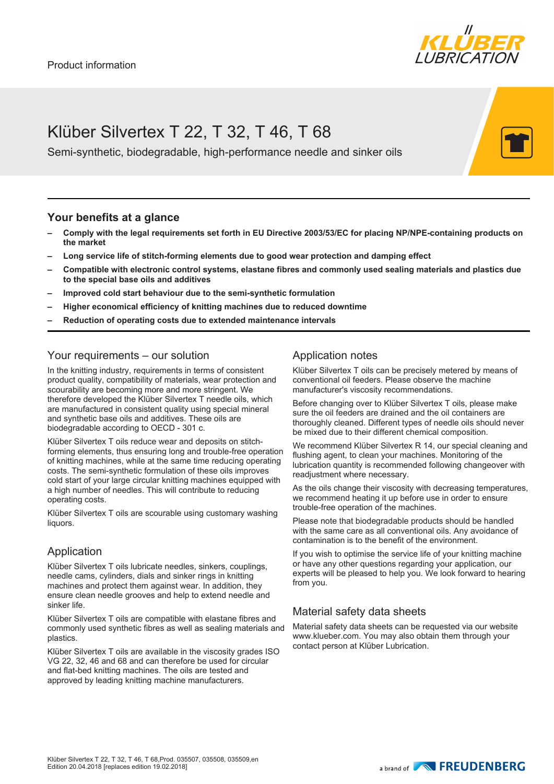

# Klüber Silvertex T 22, T 32, T 46, T 68

Semi-synthetic, biodegradable, high-performance needle and sinker oils

#### **Your benefits at a glance**

- **– Comply with the legal requirements set forth in EU Directive 2003/53/EC for placing NP/NPE-containing products on the market**
- **– Long service life of stitch-forming elements due to good wear protection and damping effect**
- **– Compatible with electronic control systems, elastane fibres and commonly used sealing materials and plastics due to the special base oils and additives**
- **– Improved cold start behaviour due to the semi-synthetic formulation**
- **– Higher economical efficiency of knitting machines due to reduced downtime**
- **– Reduction of operating costs due to extended maintenance intervals**

### Your requirements – our solution

In the knitting industry, requirements in terms of consistent product quality, compatibility of materials, wear protection and scourability are becoming more and more stringent. We therefore developed the Klüber Silvertex T needle oils, which are manufactured in consistent quality using special mineral and synthetic base oils and additives. These oils are biodegradable according to OECD - 301 c.

Klüber Silvertex T oils reduce wear and deposits on stitchforming elements, thus ensuring long and trouble-free operation of knitting machines, while at the same time reducing operating costs. The semi-synthetic formulation of these oils improves cold start of your large circular knitting machines equipped with a high number of needles. This will contribute to reducing operating costs.

Klüber Silvertex T oils are scourable using customary washing liquors.

### Application

Klüber Silvertex T oils lubricate needles, sinkers, couplings, needle cams, cylinders, dials and sinker rings in knitting machines and protect them against wear. In addition, they ensure clean needle grooves and help to extend needle and sinker life.

Klüber Silvertex T oils are compatible with elastane fibres and commonly used synthetic fibres as well as sealing materials and plastics.

Klüber Silvertex T oils are available in the viscosity grades ISO VG 22, 32, 46 and 68 and can therefore be used for circular and flat-bed knitting machines. The oils are tested and approved by leading knitting machine manufacturers.

### Application notes

Klüber Silvertex T oils can be precisely metered by means of conventional oil feeders. Please observe the machine manufacturer's viscosity recommendations.

Before changing over to Klüber Silvertex T oils, please make sure the oil feeders are drained and the oil containers are thoroughly cleaned. Different types of needle oils should never be mixed due to their different chemical composition.

We recommend Klüber Silvertex R 14, our special cleaning and flushing agent, to clean your machines. Monitoring of the lubrication quantity is recommended following changeover with readjustment where necessary.

As the oils change their viscosity with decreasing temperatures, we recommend heating it up before use in order to ensure trouble-free operation of the machines.

Please note that biodegradable products should be handled with the same care as all conventional oils. Any avoidance of contamination is to the benefit of the environment.

If you wish to optimise the service life of your knitting machine or have any other questions regarding your application, our experts will be pleased to help you. We look forward to hearing from you.

#### Material safety data sheets

Material safety data sheets can be requested via our website www.klueber.com. You may also obtain them through your contact person at Klüber Lubrication.